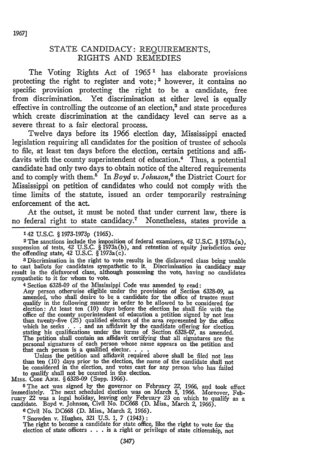## STATE CANDIDACY: REQUIREMENTS, RIGHTS AND REMEDIES

The Voting Rights Act of  $1965<sup>1</sup>$  has elaborate provisions protecting the right to register and vote;<sup>2</sup> however, it contains no specific provision protecting the right to be a candidate, free from discrimination. Yet discrimination at either level is equally effective in controlling the outcome of an election,<sup>3</sup> and state procedures which create discrimination at the candidacy level can serve as a severe threat to a fair electoral process.

Twelve days before its 1966 election day, Mississippi enacted legislation requiring all candidates for the position of trustee of schools to file, at least ten days before the election, certain petitions and affidavits with the county superintendent of education.<sup>4</sup> Thus, a potential candidate had only two days to obtain notice of the altered requirements and to comply with them.<sup>5</sup> In *Boyd v. Johnson*,<sup>6</sup> the District Court for Mississippi on petition of candidates who could not comply with the time limits of the statute, issued an order temporarily restraining enforcement of the act.

At the outset, it must be noted that under current law, there is no federal right to state candidacy.7 Nonetheless, states provide a

**2** The sanctions include **the** imposition of federal examiners, **42 U.S.C.** § 1973a(a), suspension of tests, 42 U.S.C. § 1973a(b), and retention of equity jurisdiction over the offending state, 42 **U.S.C.** § 1973a(c).

**<sup>3</sup>**Discrimination in the right to vote results in the disfavored class being unable to cast ballots for candidates sympathetic to it. Discrimination in candidacy may result in the disfavored class, although possessing the vote, having no candidates sympathetic to it for whom to vote.

4 Section **6328-09** of the Mississippi Code was amended to read:

Any person otherwise eligible under the provisions of Section 6328-09, as amended, who shall desire to be a candidate for the office of trustee must qualify in the following manner in order to be allowed to be considered for election: At least ten  $(10)$  days before the election he shall file with the office of the county superintendent of education a petition signed by not less than twenty-five  $(25)$  qualified electors of the area represent which he seeks  $\ldots$  and an affidavit by the candidate offering for election<br>stating his qualifications under the terms of Section 6328-07, as amended.<br>The petition shall contain an affidavit certifying that all signature

than ten (10) days prior to the election, the name of the candidate shall not be considered in the election, and votes cast for any person who has failed to qualify shall not be counted in the election.

MISS. CODE ANN. § 6328-09 (Supp. 1966).

5The act was signed **by** the governor on February 22, **1966,** and took effect immediately. The next scheduled election was on March **5, 1966.** Moreover, February 22 was a legal holiday, leaving only February **23** on which to qualify as a candidate. Boyd v. Johnson, Civil No. **DC668 (D.** Miss., March *2,* **1966).**

**6 Civil No. DC668 (D. Miss., March** *2, 1966).*

**7 Snowden v. Hughes, 321 U.S. 1, 7** (1943):

The right to become a candidate for state office, like the right to vote for the election of state officers **. . .** is a right or privilege of state citizenship, not

**<sup>142</sup>** U.S.C. § 1973-1973p **(1965).**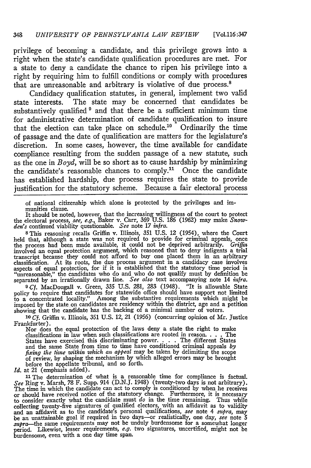privilege of becoming a candidate, and this privilege grows into a right when the state's candidate qualification procedures are met. For a state to deny a candidate the chance to ripen his privilege into a right **by** requiring him to fulfill conditions or comply with procedures that are unreasonable and arbitrary is violative of due process.<sup>8</sup>

Candidacy qualification statutes, in general, implement two valid state interests. The state may be concerned that candidates be substantively qualified <sup>9</sup> and that there be a sufficient minimum time for administrative determination of candidate qualification to insure that the election can take place on schedule.<sup>10</sup> Ordinarily the time of passage and the date of qualification are matters for the legislature's discretion. In some cases, however, the time available for candidate compliance resulting from the sudden passage of a new statute, such as the one in *Boyd,* will be so short as to cause hardship **by** minimizing the candidate's reasonable chances to comply." Once the candidate has established hardship, due process requires the state to provide justification for the statutory scheme. Because a fair electoral process

of national citizenship which alone is protected **by** the privileges and immunities clause.

It should be noted, however, that the increasing willingness of the court to protect<br>the electoral process, see, e.g., Baker v. Carr, 369 U.S. 186 (1962) may make Snow-<br>den's continued viability questionable. See note 17 i

8This reasoning recalls Griffin v. Illinois, 351 **U.S.** 12 (1954), where the Court held that, although a state was not required to provide for criminal appeals, once the process had been made available, it could not be deprived arbitrarily. *Griffin* involved an equal protection argument, which reasoned that to deny indigents a trial transcript because they could not afford to buy one classification. At its roots, the due process argument in a candidacy case involves aspects of equal protection, for if it is established that the statutory time period is "unreasonable," the candidates who do and who do not qualify must by definition be separated **by** an irrationally drawn line. *See also* text accompanying note 14 *infra.*

**9.Cf.** MacDougall v. Green, 335 **U.S.** 281, 283 (1948). "It is allowable State policy to require that candidates for statewide office should have support not limited<br>to a concentrated locality." Among the substantive requirements which might be<br>imposed by the state on candidates are residency within showing that the candidate has the backing of a minimal number of voters.

*10 Cf.* Griffin v. Illinois, 351 **U.S.** 12, 21 (1956) (concurring opinion of Mr. Justice Frankfurter).

Nor does the equal protection of the laws deny a state the right to make classifications in law when such classifications are rooted in reason. **. . .** The States have exercised this discriminating power. . . . . The different States and the same State from time to time have conditioned criminal appeals by fixing the time within which an appeal may be taken by delimiting the before the appellate tribunal, and so forth.

*Id.* at 21 (emphasis added).

**<sup>11</sup>**The determination of what is a reasonable time for compliance is factual. See Ring v. Marsh, 78 F. Supp. 914 (D.N.J. 1948) (twenty-two days is not arbitrary).<br>The time in which the candidate can act to comply is conditioned by when he receives or should have received notice of the statutory change. Furthermore, it is necessary to consider exactly what the candidate must *do* in the time remaining. Thus while collecting twenty-five signatures of qualified electors, with an affidavit as to validity<br>and an affidavit as to the candidate's personal qualifications, see note 4 supra, may<br>be an unattainable goal if required in two day burdensome, even with a one day time span.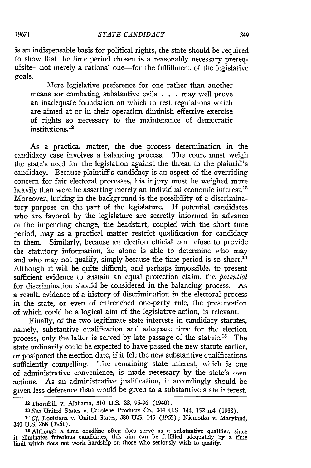is an indispensable basis for political rights, the state should be required to show that the time period chosen is a reasonably necessary prerequisite-not merely a rational one-for the fulfillment of the legislative goals.

Mere legislative preference for one rather than another means for combating substantive evils . . . may well prove an inadequate foundation on which to rest regulations which are aimed at or in their operation diminish effective exercise of rights so necessary to the maintenance of democratic institutions.<sup>12</sup>

As a practical matter, the due process determination in the candidacy case involves a balancing process. The court must weigh the state's need for the legislation against the threat to the plaintiff's candidacy. Because plaintiff's candidacy is an aspect of the overriding concern for fair electoral processes, his injury must be weighed more heavily than were he asserting merely an individual economic interest.<sup>13</sup> Moreover, lurking in the background is the possibility of a discriminatory purpose on the part of the legislature. If potential candidates who are favored by the legislature are secretly informed in advance of the impending change, the headstart, coupled with the short time period, may as a practical matter restrict qualification for candidacy to them. Similarly, because an election official can refuse to provide the statutory information, he alone is able to determine who may and who may not qualify, simply because the time period is so short.<sup>14</sup> Although it will be quite difficult, and perhaps impossible, to present sufficient evidence to sustain an equal protection claim, the *potential* for discrimination should be considered in the balancing process. As a result, evidence of a history of discrimination in the electoral process in the state, or even of entrenched one-party rule, the preservation of which could be a logical aim of the legislative action, is relevant.

Finally, of the two legitimate state interests in candidacy statutes, namely, substantive qualification and adequate time for the election process, only the latter is served by late passage of the statute.<sup>15</sup> The state ordinarily could be expected to have passed the new statute earlier, or postponed the election date, if it felt the new substantive qualifications sufficiently compelling. The remaining state interest, which is one of administrative convenience, is made necessary by the state's own actions. As an administrative justification, it accordingly should be given less deference than would be given to a substantive state interest.

<sup>12</sup> Thornhill v. Alabama, **310 U.S. 88, 95-96** (1940).

*<sup>13</sup> See* United States v. Carolene Products Co., 304 U.S. 144, 152 n.4 (1938).

*<sup>14</sup>Cf.* Louisiana v. United States, 380 U.S. 145 (1965); Niemotko v. Maryland, 340 U.S. 268 (1951).

**<sup>15</sup>**Although a time deadline often does serve as a substantive qualifier, since it eliminates frivolous candidates, this aim can be fulfilled adequately by a time limit which does not work hardship on those who seriously wish to qualify.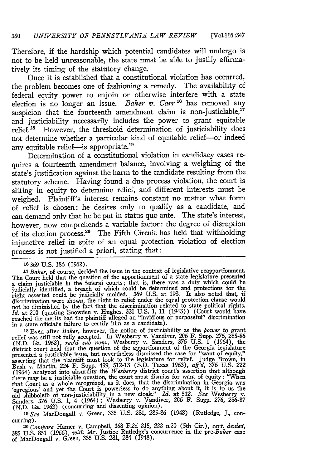Therefore, if the hardship which potential candidates will undergo is not to be held unreasonable, the state must be able to justify affirmatively its timing of the statutory change.

Once it is established that a constitutional violation has occurred, the problem becomes one of fashioning a remedy. The availability of federal equity power to enjoin or otherwise interfere with a state election is no longer an issue. *Baker v. Carr* <sup>16</sup> has removed any suspicion that the fourteenth amendment claim is non-justiciable,<sup>17</sup> and justiciability necessarily includes the power to grant equitable relief.<sup>18</sup> However, the threshold determination of justiciability does not determine whether a particular kind of equitable relief-or indeed any equitable relief-is appropriate.<sup>19</sup>

Determination of a constitutional violation in candidacy cases requires a fourteenth amendment balance, involving a weighing of the state's justification against the harm to the candidate resulting from the statutory scheme. Having found a due process violation, the court is sitting in equity to determine relief, and different interests must be weighed. Plaintiff's interest remains constant no matter what form of relief is chosen: he desires only to qualify as a candidate, and can demand only that he be put in status quo ante. The state's interest, however, now comprehends a variable factor: the degree of disruption of its election process.20 The Fifth Circuit has held that withholding injunctive relief in spite of an equal protection violation of election process is not justified a priori, stating that:

**<sup>18</sup>**Even after *Baker,* however, the notion of justiciability as the *power* to grant relief was still not fully accepted. In Wesberry v. Vandiver, 206 F. Supp. 276, 285-86 (N.D. Ga. 1962), *rev'd sub nom.,* Wesberry v. Sanders, 376 U.S. 1 (1964), the district court held that the question of the apportionment of the Georgia legislature<br>presented a justiciable issue, but nevertheless dismissed the case for "want of equity,"<br>asserting that the plaintiff must look to the there may be a justiciable question, the court must dismiss for want of equity: "When that Court as a whole recognized, as it does, that the discrimination in Georgia was 'egregious' and yet the Court is powerless to do anything about it, it is to us the old shibboleth of non-justiciability in a new cloak." *Id.* at 512. *See* Wesberry v. Sanders, 376 U.S. 1, 4 (1964); Wesberry v. Vandiver, 206 F. Supp. 276, 286-87<br>(N.D. Ga. 1962) (concurring and dissenting opinion).<br>19 See MacDougall v. Green, 335 U.S. 281, 285-86 (1948) (Rutledge, J., con-

curring).

**<sup>20</sup>***Compare* Hamer v. Campbell, **358** F.2d **215,** 222 n.20 (5th Cir.), *cert. denied,* **385** U.S. 851 (1966), *with* Mr. Justice Rutledge's concurrence in the pre-Baker case of MacDougall v. Green, **335** U.S. 281, 284 (1948).

**<sup>10369</sup>** U.S. 186 (1962).

 $17$  Baker, of course, decided the issue in the context of legislative reapportionment. The Court held that the question of the apportionment of a state legislature presented a claim justiciable in the federal courts; that is, there was a duty which could be judicially identified, a breach of which could be determined and protections for the right asserted could be judicially molded. 369 U.S. at 198. It also noted that, if discrimination were shown, the right to relief under the equal protection clause would not be diminished by the fact that the discriminatio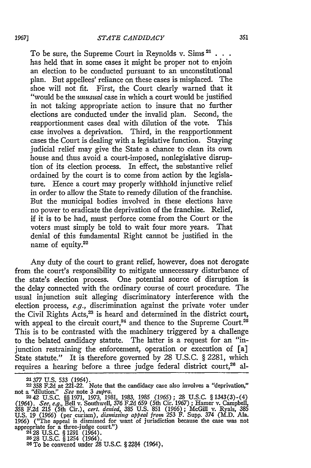To be sure, the Supreme Court in Reynolds v. Sims 21 **. . .** has held that in some cases it might be proper not to enjoin an election to be conducted pursuant to an unconstitutional plan. But appellees' reliance on these cases is misplaced. The shoe will not fit. First, the Court clearly warned that it "would be the *unusual* case in which a court would be justified in not taking appropriate action to insure that no further elections are conducted under the invalid plan. Second, the reapportionment cases deal with dilution of the vote. This case involves a deprivation. Third, in the reapportionment cases the Court is dealing with a legislative function. Staying judicial relief may give the State a chance to clean its own house and thus avoid a court-imposed, nonlegislative disruption of its election process. In effect, the substantive relief ordained by the court is to come from action by the legislature. Hence a court may properly withhold injunctive relief in order to allow the State to remedy dilution of the franchise. But the municipal bodies involved in these elections have no power to eradicate the deprivation of the franchise. Relief, if it is to be had, must perforce come from the Court or the voters must simply be told to wait four more years. That denial of this fundamental Right cannot be justified in the name of equity.<sup>22</sup>

Any duty of the court to grant relief, however, does not derogate from the court's responsibility to mitigate unnecessary disturbance of the state's election process. One potential source of disruption is the delay connected with the ordinary course of court procedure. The usual injunction suit alleging discriminatory interference with the election process, e.g., discrimination against the private voter under the Civil Rights Acts,<sup>23</sup> is heard and determined in the district court, with appeal to the circuit court,<sup>24</sup> and thence to the Supreme Court.<sup>25</sup> This is to be contrasted with the machinery triggered by a challenge to the belated candidacy statute. The latter is a request for an "injunction restraining the enforcement, operation or execution of [a] State statute." It is therefore governed by 28 U.S.C. § 2281, which requires a hearing before a three judge federal district court,<sup>26</sup> al-

**<sup>21377</sup> U.S. 533** (1964). **<sup>22</sup>**358 **F.2d** at 221-22. Note that the candidacy case also involves a "deprivation," not a "dilution." *See* note 3 *supra*.<br>
<sup>23</sup> 42 U.S.C. §§ 1971, 1973, 1981, 1983, 1985 (1965); 28 U.S.C. § 1343(3)-(4)

*<sup>(1964).</sup> See, e.g.,* Bell v. Southwell, 376 F.2d 659 (5th Cir. 1967) ; Hamer v. Campbell, 358 F.2d 215 (5th Cir.), *cert. denied,* 385 U.S. 851 (1966); McGill v. Ryals, 385 U.S. 19 (1966) (per curiam), dismissing appeal from 253  $\hat{F}$ . Supp. 374 (M.D. Ala. 1966) ("The appeal is dismissed for want of jurisdiction because the case was not appropriate for a three-judge court.")<br>appropriate fo

**<sup>228</sup>**U.S.C. § 1254 (1964). **26 Tobe** convened under 28 U.S.C. § 284 (1964),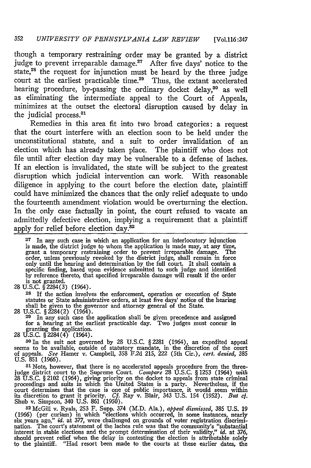though a temporary restraining order may be granted by a district judge to prevent irreparable damage.<sup>27</sup> After five days' notice to the state,28 the request for injunction must be heard by the three judge court at the earliest practicable **time.29** Thus, the extant accelerated hearing procedure, by-passing the ordinary docket delay,<sup>30</sup> as well as eliminating the intermediate appeal to the Court of Appeals, minimizes at the outset the electoral disruption caused by delay in the judicial process.<sup>31</sup>

Remedies in this area fit into two broad categories: a request that the court interfere with an election soon to be held under the unconstitutional statute, and a suit to order invalidation of an election which has already taken place. The plaintiff who does not file until after election day may be vulnerable to a defense of laches. If an election is invalidated, the state will be subject to the greatest disruption which judicial intervention can work. With reasonable diligence in applying to the court before the election date, plaintiff could have minimized the chances that the only relief adequate to undo the fourteenth amendment violation would be overturning the election. In the only case factually in point, the court refused to vacate an admittedly defective election, implying a requirement that a plaintiff apply for relief before election day.<sup>32</sup>

**27** In any such case in which an application for an interlocutory injunction is made, the district judge to whom the application is made may, at any time, grant a temporary restraining order to prevent irreparable damage. The order, unless previously revoked by the district judge, shall remain in force<br>only until the hearing and determination by the full court. It shall contain a<br>specific finding, based upon evidence submitted to such judge and is not granted. 28 U.S.C. §2284(3) (1964).

**28** If the action involves the enforcement, operation or execution of State statutes or State administrative orders, at least five days' notice of the hearing shall be given to the governor and attorney general of the State.

28 U.S.C. §2284(2) (1964).<br><sup>29</sup> In any such case the application shall be given precedence and assigned<br>for a hearing at the earliest practicable day. Two judges must concur in granting the application. <sup>28</sup>**U.S.C.** §2284(4) (1964).

<sup>30</sup> In the suit not governed by 28 U.S.C. § 2281 (1964), an expedited appeal seems to be available, outside of statutory mandate, in the discretion of the court of appeals. *See* Hamer v. Campbell, 358 F2d 215, 222 (5th Cir.), *cert. denied,* 385 U.S. 851 (1966).

**81** Note, however, that there is no accelerated appeals procedure from the threejudge district court to the Supreme Court. *Compare* 28 U.S.C. § 1253 (1964) *with* 28 U.S.C. § 2102 (1964), giving priority on the docket to appeals from state criminal proceedings and suits in which the United States is a party. Nevertheless, if the court determines that the case is one of public importance, it would seem within its discretion to grant it priority. Cf. Ray v. Blair, 343 Shub v. Simpson, 340 U.S. 861 (1950).

<sup>32</sup>McGill v. Ryals, 253 F. Supp. 374 (M.D. Ala.), *appeal dismissed,* 385 U.S. 19 (1966) (per curiam) in which "elections which occurred, in some instances, nearly six years ago," *id.* at 377, were challenged on grounds of voter registration discrimination. The court's statement of the laches rule was that the community's "substantial interest in stable elections and the prompt determination of their validity," *id.* at 376, should prevent relief when the delay in contesting the election is attributable solely to the plaintiff. "Had resort been made to the courts at these earlier dates, the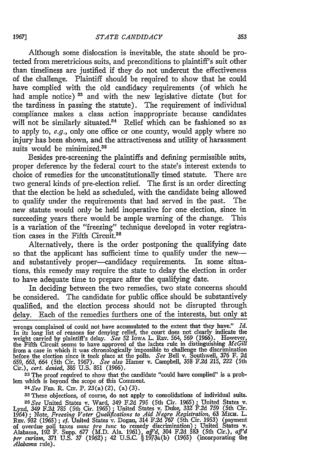Although some dislocation is inevitable, the state should be protected from meretricious suits, and preconditions to plaintiff's suit other than timeliness are justified if they do not undercut the effectiveness of the challenge. Plaintiff should be required to show that he could have complied with the old candidacy requirements (of which he had ample notice)<sup>33</sup> and with the new legislative dictate (but for the tardiness in passing the statute). The requirement of individual compliance makes a class action inappropriate because candidates will not be similarly situated.<sup>34</sup> Relief which can be fashioned so as to apply to, e.g., only one office or one county, would apply where no injury has been shown, and the attractiveness and utility of harassment suits would be minimized.<sup>35</sup>

Besides pre-screening the plaintiffs and defining permissible suits, proper deference by the federal court to the state's interest extends to choice of remedies for the unconstitutionally timed statute. There are two general kinds of pre-election relief. The first is an order directing that the election be held as scheduled, with the candidate being allowed to qualify under the requirements that had served in the past. The new statute would only be held inoperative for one election, since in succeeding years there would be ample warning of the change. This is a variation of the "freezing" technique developed in voter registration cases in the Fifth Circuit.<sup>36</sup>

Alternatively, there is the order postponing the qualifying date so that the applicant has sufficient time to qualify under the newand substantively proper-candidacy requirements. In some situations, this remedy may require the state to delay the election in order to have adequate time to prepare after the qualifying date.

In deciding between the two remedies, two state concerns should be considered. The candidate for public office should be substantively qualified, and the election process should not be disrupted through delay. Each of the remedies furthers one of the interests, but only at

**33** The proof required to show that the candidate "could have complied" is a problem which is beyond the scope of this Comment.

*<sup>34</sup> See* **FED.** R. Civ. P. 23(a)(2), (a)(3).

35 These objections, of course, do not apply to consolidations of individual suits. **36See** United States v. Ward, 349 F.2d 795 (5th Cir. 1965); United States v. Lynd, 349 F.2d **785** (5th Cir. 1965) ; United States v. Duke, 332 F.2d 759 (5th Cir. 1964) **;** Note, *Freezing Voter Qualifications to Aid Negro Registration,* **63 MIcH.** L. REV. 932 (1965); cf. United States v. Dogan, 314 F.2d 767 (5th Cir. 1953) (payment<br>of overdue poll taxes *nunc pro tunc* to remedy discrimination); United States v.<br>Alabama, 192 F. Supp. 677 (M.D. Ala. 1961), aff'd, 304 F. *Alabama* rule),

wrongs complained of could not have accumulated to the extent that they have." *Id.* In its long list of reasons for denying relief, the court does not clearly indicate the weight carried by plaintiff's delay. See 52 Iowa L. REV. 564, 569 (1966). However, the Fifth Circuit seems to have approved of the laches rule in distinguishing *McGill* from a case in which it was chronologically impossi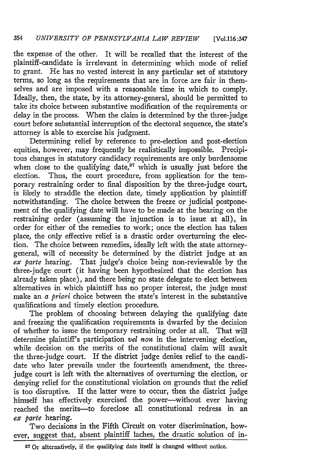## 354 *UNIVERSITY OF PENNSYLVANIA LAW REVIEW* [Vol.l16:347

the expense of the other. It will be recalled that the interest of the plaintiff-candidate is irrelevant in determining which mode of relief to grant. He has no vested interest in any particular set of statutory terms, so long as the requirements that are in force are fair in themselves and are imposed with a reasonable time in which to comply. Ideally, then, the state, by its attorney-general, should be permitted to take its choice between substantive modification of the requirements or delay in the process. When the claim is determined by the three-judge court before substantial interruption of the electoral sequence, the state's attorney is able to exercise his judgment.

Determining relief by reference to pre-election and post-election equities, however, may frequently be realistically impossible. Precipitous changes in statutory candidacy requirements are only burdensome when close to the qualifying date, $37$  which is usually just before the election. Thus, the court procedure, from application for the temporary restraining order to final disposition by the three-judge court, is likely to straddle the election date, timely application by plaintiff notwithstanding. The choice between the freeze or judicial postponement of the qualifying date will have to be made at the hearing on the restraining order (assuming the injunction is to issue at all), in order for either of the remedies to work; once the election has taken place, the only effective relief is a drastic order overturning the election. The choice between remedies, ideally left with the state attorneygeneral, will of necessity be determined by the district judge at an *ex parte* hearing. That judge's choice being non-reviewable by the three-judge court (it having been hypothesized that the election has already taken place), and there being no state delegate to elect between alternatives in which plaintiff has no proper interest, the judge must make an *a priori* choice between the state's interest in the substantive qualifications and timely election procedure.

The problem of choosing between delaying the qualifying date and freezing the qualification requirements is dwarfed by the decision of whether to issue the temporary restraining order at all. That will determine plaintiff's participation *vel non* in the intervening election, while decision on the merits of the constitutional claim will await the three-judge court. If the district judge denies relief to the candidate who later prevails under the fourteenth amendment, the threejudge court is left with the alternatives of overturning the election, or denying relief for the constitutional violation on grounds that the relief is too disruptive. If the latter were to occur, then the district judge himself has effectively exercised the power-without ever having reached the merits-to foreclose all constitutional redress in an *ex parte* hearing.

Two decisions in the Fifth Circuit on voter discrimination, however, suggest that, absent plaintiff laches, the drastic solution of in-

**<sup>8</sup> <sup>7</sup> Or** alternatively, if **the** qualifying date itself is changed without notice.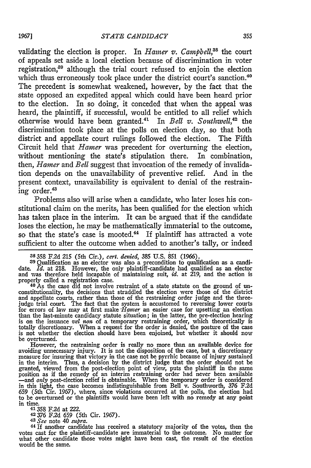validating the election is proper. In *Hamer v. Campbell*,<sup>38</sup> the court of appeals set aside a local election because of discrimination in voter registration,<sup>39</sup> although the trial court refused to enjoin the election which thus erroneously took place under the district court's sanction.<sup>40</sup> The precedent is somewhat weakened, however, by the fact that the state opposed an expedited appeal which could have been heard prior to the election. In so doing, it conceded that when the appeal was heard, the plaintiff, if successful, would be entitled to all relief which otherwise would have been granted.<sup>41</sup> In *Bell v. Southwell*,<sup>42</sup> the discrimination took place at the polls on election day, so that both district and appellate court rulings followed the election. The Fifth Circuit held that *Hamer* was precedent for overturning the election, without mentioning the state's stipulation there. In combination, then, *Hamer* and *Bell* suggest that invocation of the remedy of invalidation depends on the unavailability of preventive relief. And in the present context, unavailability is equivalent to denial of the restraining order.<sup>43</sup>

Problems also will arise when a candidate, who later loses his constitutional claim on the merits, has been qualified for the election which has taken place in the interim. It can be argued that if the candidate loses the election, he may be mathematically immaterial to the outcome, so that the state's case is mooted.<sup>44</sup> If plaintiff has attracted a vote sufficient to alter the outcome when added to another's tally, or indeed

**39** Qualification as an elector was also a precondition to qualification as a candidate. *Id.* at 218. However, the only plaintiff-candidate had qualified as an elector and was therefore held incapable of maintaining suit, *id.* at 219, and the action is properly called a registration case.<br><sup>40</sup> As the case did not involve restraint of a state statute on the ground of un-

constitutionality, the decisions that straddled the election were those of the district and appellate courts, rather than those of the restraining order judge and the threejudge trial court. The fact that the system is accustomed to reversing lower courts for errors of law may at first make *"Hanzer* an easier case for upsetting an election than the last-minute candidacy statute situation; in the latter, the pre-election hearing is on the issuance *vel non* of a temporary restraining order, which theoretically is<br>totally discretionary. When a request for the order is denied, the posture of the case<br>is not whether the election should have been enjo

However, the restraining order is really no more than an available device for avoiding unnecessary injury. It is not the disposition of the case, but a discretionary measure for insuring that victory in the case not be pyr in the interim. Thus, a decision by the district judge that the order should not be granted, viewed from the post-election point of view, puts the plaintiff in the same<br>position as if the remedy of an interim restraining order had never been available<br>—and *only* post-election relief is obtainable. When t in this light, the case becomes indistinguishable from Bell v. Southworth, *376* F.2d 659 (5th Cir. 1967), where, since violations occurred at the polls, the election had to be overturned or the plaintiffs would have been left with no remedy at any point in time.

.....<br><sup>41</sup> 358 F.2d at 222.

42376 F.2d 659 (5th Cir. 1967). *<sup>4</sup> 3 See* note 40 *supra.*

**<sup>44</sup>**If another candidate has received a statutory majority of the votes, then the votes cast for the plaintiff-candidate are immaterial to the outcome. No matter for what other candidate those votes might have been cast, the result of the election would be the same.

**<sup>38 358</sup>** F.2d 215 (5th Cir.), *cert. denied,* **385 U.S.** 851 (1966).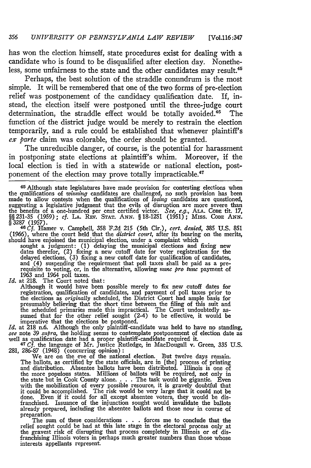has won the election himself, state procedures exist for dealing with a candidate who is found to be disqualified after election day. Nonetheless, some unfairness to the state and the other candidates may result.<sup>45</sup>

Perhaps, the best solution of the straddle conundrum is the most simple. It will be remembered that one of the two forms of pre-election relief was postponement of the candidacy qualification date. If, instead, the election itself were postponed until the three-judge court determination, the straddle effect would be totally avoided.<sup>46</sup> The function of the district judge would be merely to restrain the election temporarily, and a rule could be established that whenever plaintiff's *ex parte* claim was colorable, the order should be granted.

The unreducible danger, of course, is the potential for harassment in postponing state elections at plaintiff's whim. Moreover, if the local election is tied in with a statewide or national election, postponement of the election may prove totally impracticable.<sup>47</sup>

 $45$  Although state legislatures have made provision for contesting elections when the qualifications of *winning* candidates are challenged, no such provision has been made to allow contests when the qualifications of *losing* candidates are questioned, suggesting a legislative judgment that the evils of disruption are more severe than<br>the benefits of a one-hundred per cent certified victor. *See, e.g.*, ALA. Cope tit. 17,<br>§§ 231-35 (1959); *cf.* LA. Rev. Star. ANN. § 18-§ 3287 (1957). **46Cf.** Hamer v. Campbell, 358 F.2d 215 (5th Cir.), *cert. denied,* 385 U.S. 851

(1966), where the court held that the *district court,* after its hearing on the merits, should have enjoined the municipal election, under a complaint which

sought a judgment: (1) delaying the municipal elections and fixing new dates therefor, (2) fixing a new cutoff date for voter registration for the delayed elections, (3) fixing a new cutoff date for qualification of candi 1963 and 1964 poll taxes. *Id.* at 218. The Court noted that:

Although it would have been possible merely to fix new cutoff dates for registration, qualification of candidates, and payment of poll taxes prior to the elections as *originally* scheduled, the District Court had ample ba presumably believing that the short time between the filing of this suit and the scheduled primaries made this impractical. The Court undoubtedly as- sumed that for the other relief sought (2-4) to be effective, it would be

imperative that the elections be postponed.<br> *Id.* at 218 n.6. Although the only plaintiff-candidate was held to have no standing,<br> *see* note 39 *supra*, the holding seems to contemplate postponement of election date as<br>

281, 286-87 (1948) (concurring opinion) **:** We are on the eve of the national election. But twelve days remain.

The ballots, as certified by the state officials, are in [the] process of printing<br>and distribution. Absentee ballots have been distributed. Illinois is one of<br>the more populous states. Millions of ballots will be required the state but in Cook County alone. . **.** . The task would be gigantic. Even with the mobilization of every possible resource, it is gravely doubtful that it could be accomplished. The risk would be very large that it could not be done. Even if it could for all except absentee voters, they would be dis-franchised. Issuance of the injunction sought would invalidate the ballots already prepared, including the absentee ballots and those now in course of preparation.

The sum of these considerations . . . forces me to conclude that the relief sought could be had at this late stage in the electoral process only at<br>the gravest risk of disrupting that process completely in Illinois or of dis-<br>franchising Illinois voters in perhaps much greater numbers than interests appellants represent.